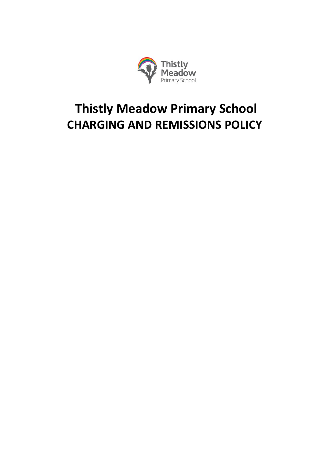

# **Thistly Meadow Primary School CHARGING AND REMISSIONS POLICY**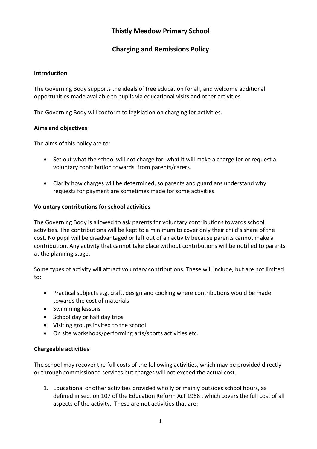# **Thistly Meadow Primary School**

# **Charging and Remissions Policy**

## **Introduction**

The Governing Body supports the ideals of free education for all, and welcome additional opportunities made available to pupils via educational visits and other activities.

The Governing Body will conform to legislation on charging for activities.

## **Aims and objectives**

The aims of this policy are to:

- Set out what the school will not charge for, what it will make a charge for or request a voluntary contribution towards, from parents/carers.
- Clarify how charges will be determined, so parents and guardians understand why requests for payment are sometimes made for some activities.

## **Voluntary contributions for school activities**

The Governing Body is allowed to ask parents for voluntary contributions towards school activities. The contributions will be kept to a minimum to cover only their child's share of the cost. No pupil will be disadvantaged or left out of an activity because parents cannot make a contribution. Any activity that cannot take place without contributions will be notified to parents at the planning stage.

Some types of activity will attract voluntary contributions. These will include, but are not limited to:

- Practical subjects e.g. craft, design and cooking where contributions would be made towards the cost of materials
- Swimming lessons
- School day or half day trips
- Visiting groups invited to the school
- On site workshops/performing arts/sports activities etc.

#### **Chargeable activities**

The school may recover the full costs of the following activities, which may be provided directly or through commissioned services but charges will not exceed the actual cost.

1. Educational or other activities provided wholly or mainly outsides school hours, as defined in section 107 of the Education Reform Act 1988 , which covers the full cost of all aspects of the activity. These are not activities that are: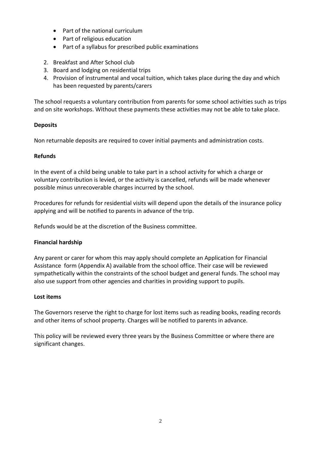- Part of the national curriculum
- Part of religious education
- Part of a syllabus for prescribed public examinations
- 2. Breakfast and After School club
- 3. Board and lodging on residential trips
- 4. Provision of instrumental and vocal tuition, which takes place during the day and which has been requested by parents/carers

The school requests a voluntary contribution from parents for some school activities such as trips and on site workshops. Without these payments these activities may not be able to take place.

## **Deposits**

Non returnable deposits are required to cover initial payments and administration costs.

## **Refunds**

In the event of a child being unable to take part in a school activity for which a charge or voluntary contribution is levied, or the activity is cancelled, refunds will be made whenever possible minus unrecoverable charges incurred by the school.

Procedures for refunds for residential visits will depend upon the details of the insurance policy applying and will be notified to parents in advance of the trip.

Refunds would be at the discretion of the Business committee.

# **Financial hardship**

Any parent or carer for whom this may apply should complete an Application for Financial Assistance form (Appendix A) available from the school office. Their case will be reviewed sympathetically within the constraints of the school budget and general funds. The school may also use support from other agencies and charities in providing support to pupils.

## **Lost items**

The Governors reserve the right to charge for lost items such as reading books, reading records and other items of school property. Charges will be notified to parents in advance.

This policy will be reviewed every three years by the Business Committee or where there are significant changes.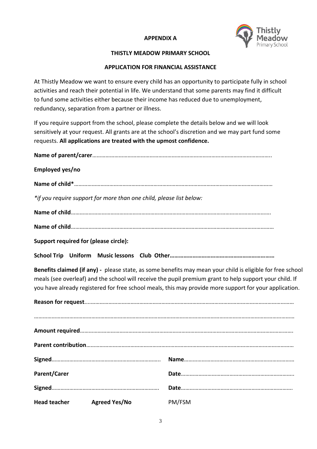# **APPENDIX A**



#### **THISTLY MEADOW PRIMARY SCHOOL**

## **APPLICATION FOR FINANCIAL ASSISTANCE**

At Thistly Meadow we want to ensure every child has an opportunity to participate fully in school activities and reach their potential in life. We understand that some parents may find it difficult to fund some activities either because their income has reduced due to unemployment, redundancy, separation from a partner or illness.

If you require support from the school, please complete the details below and we will look sensitively at your request. All grants are at the school's discretion and we may part fund some requests. **All applications are treated with the upmost confidence.**

**Name of parent/carer**………………………………………………………………………………………………………….. **Employed yes/no Name of child\***……………………………………………………………………………………………………………………… *\*if you require support for more than one child, please list below:* **Name of child**………………………………………………………………………………………………………………………. **Name of child**…………………………………………………………………………………………………………………………

**Support required for (please circle):** 

**School Trip Uniform Music lessons Club Other……………………………………………………………**

**Benefits claimed (if any) -** please state, as some benefits may mean your child is eligible for free school meals (see overleaf) and the school will receive the pupil premium grant to help support your child. If you have already registered for free school meals, this may provide more support for your application.

| <b>Parent/Carer</b>        |        |
|----------------------------|--------|
|                            |        |
| Head teacher Agreed Yes/No | PM/FSM |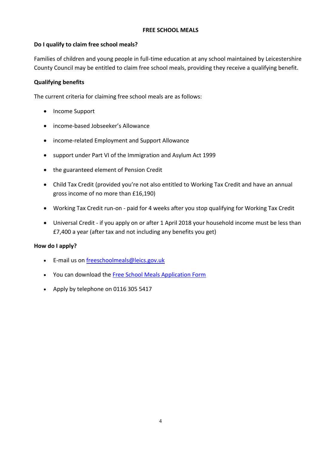## **FREE SCHOOL MEALS**

# **Do I qualify to claim free school meals?**

Families of children and young people in full-time education at any school maintained by Leicestershire County Council may be entitled to claim free school meals, providing they receive a qualifying benefit.

# **Qualifying benefits**

The current criteria for claiming free school meals are as follows:

- Income Support
- income-based Jobseeker's Allowance
- income-related Employment and Support Allowance
- support under Part VI of the Immigration and Asylum Act 1999
- the guaranteed element of Pension Credit
- Child Tax Credit (provided you're not also entitled to Working Tax Credit and have an annual gross income of no more than £16,190)
- Working Tax Credit run-on paid for 4 weeks after you stop qualifying for Working Tax Credit
- Universal Credit if you apply on or after 1 April 2018 your household income must be less than £7,400 a year (after tax and not including any benefits you get)

## **How do I apply?**

- E-mail us on [freeschoolmeals@leics.gov.uk](mailto:freeschoolmeals@leics.gov.uk)
- You can download the [Free School Meals Application Form](http://www.leics.gov.uk/free_school_meals_application_form.doc)
- Apply by telephone on 0116 305 5417